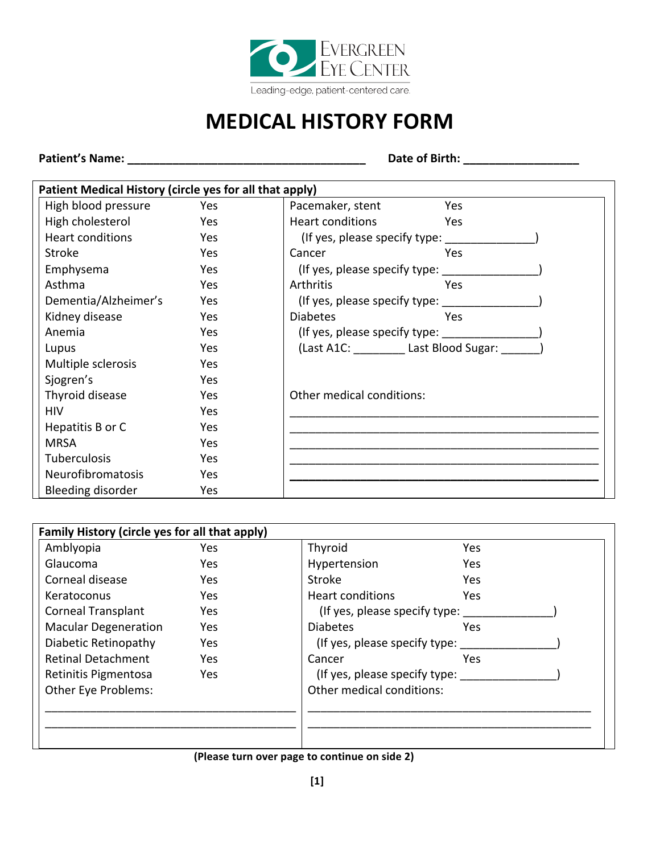

## **MEDICAL HISTORY FORM**

**Patient's Name: \_\_\_\_\_\_\_\_\_\_\_\_\_\_\_\_\_\_\_\_\_\_\_\_\_\_\_\_\_\_\_\_\_\_\_\_\_ Date of Birth: \_\_\_\_\_\_\_\_\_\_\_\_\_\_\_\_\_\_**

| Patient Medical History (circle yes for all that apply) |      |                                       |  |
|---------------------------------------------------------|------|---------------------------------------|--|
| High blood pressure                                     | Yes  | Pacemaker, stent<br>Yes               |  |
| High cholesterol                                        | Yes  | Heart conditions<br>Yes               |  |
| <b>Heart conditions</b>                                 | Yes  | (If yes, please specify type: _______ |  |
| <b>Stroke</b>                                           | Yes  | Cancer<br>Yes                         |  |
| Emphysema                                               | Yes  | (If yes, please specify type:         |  |
| Asthma                                                  | Yes. | Arthritis<br>Yes                      |  |
| Dementia/Alzheimer's                                    | Yes  | (If yes, please specify type:         |  |
| Kidney disease                                          | Yes  | Yes<br><b>Diabetes</b>                |  |
| Anemia                                                  | Yes  | (If yes, please specify type:         |  |
| Lupus                                                   | Yes  | (Last A1C: Last Blood Sugar:          |  |
| Multiple sclerosis                                      | Yes  |                                       |  |
| Sjogren's                                               | Yes  |                                       |  |
| Thyroid disease                                         | Yes  | Other medical conditions:             |  |
| <b>HIV</b>                                              | Yes  |                                       |  |
| Hepatitis B or C                                        | Yes  |                                       |  |
| <b>MRSA</b>                                             | Yes  |                                       |  |
| <b>Tuberculosis</b>                                     | Yes  |                                       |  |
| Neurofibromatosis                                       | Yes  |                                       |  |
| Bleeding disorder                                       | Yes  |                                       |  |

| Family History (circle yes for all that apply) |            |                               |            |  |
|------------------------------------------------|------------|-------------------------------|------------|--|
| Amblyopia                                      | <b>Yes</b> | Thyroid                       | <b>Yes</b> |  |
| Glaucoma                                       | Yes        | Hypertension                  | Yes        |  |
| Corneal disease                                | Yes        | Stroke                        | Yes.       |  |
| Keratoconus                                    | Yes        | <b>Heart conditions</b>       | <b>Yes</b> |  |
| <b>Corneal Transplant</b>                      | Yes        | (If yes, please specify type: |            |  |
| <b>Macular Degeneration</b>                    | Yes        | <b>Diabetes</b>               | Yes        |  |
| Diabetic Retinopathy                           | Yes        | (If yes, please specify type: |            |  |
| <b>Retinal Detachment</b>                      | Yes        | Cancer                        | Yes        |  |
| Retinitis Pigmentosa                           | Yes        | (If yes, please specify type: |            |  |
| Other Eye Problems:                            |            | Other medical conditions:     |            |  |
|                                                |            |                               |            |  |
|                                                |            |                               |            |  |
|                                                |            |                               |            |  |

## **(Please turn over page to continue on side 2)**